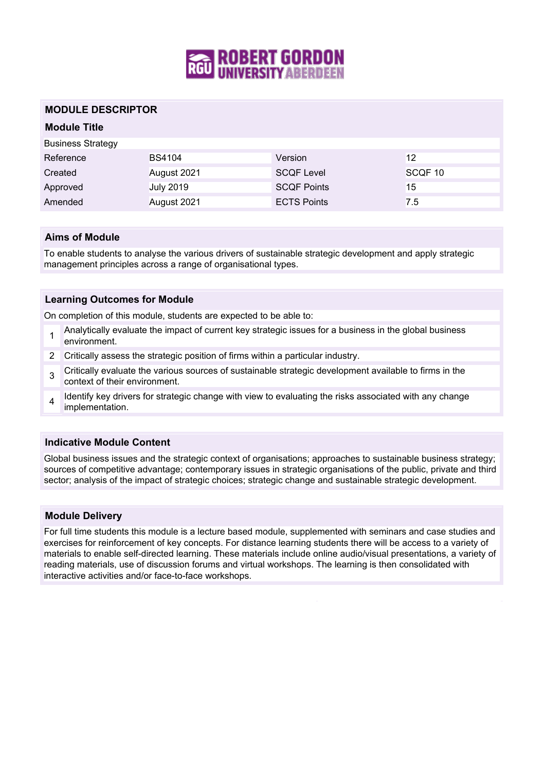

### **MODULE DESCRIPTOR**

# **Module Title**

| <b>Business Strategy</b> |                  |                    |         |
|--------------------------|------------------|--------------------|---------|
| Reference                | <b>BS4104</b>    | Version            | 12      |
| Created                  | August 2021      | <b>SCQF Level</b>  | SCQF 10 |
| Approved                 | <b>July 2019</b> | <b>SCQF Points</b> | 15      |
| Amended                  | August 2021      | <b>ECTS Points</b> | 7.5     |

### **Aims of Module**

To enable students to analyse the various drivers of sustainable strategic development and apply strategic management principles across a range of organisational types.

### **Learning Outcomes for Module**

On completion of this module, students are expected to be able to:

- 1 Analytically evaluate the impact of current key strategic issues for a business in the global business environment.
- 2 Critically assess the strategic position of firms within a particular industry.
- 3 Critically evaluate the various sources of sustainable strategic development available to firms in the context of their environment.
- 4 Identify key drivers for strategic change with view to evaluating the risks associated with any change implementation.

### **Indicative Module Content**

Global business issues and the strategic context of organisations; approaches to sustainable business strategy; sources of competitive advantage; contemporary issues in strategic organisations of the public, private and third sector; analysis of the impact of strategic choices; strategic change and sustainable strategic development.

### **Module Delivery**

For full time students this module is a lecture based module, supplemented with seminars and case studies and exercises for reinforcement of key concepts. For distance learning students there will be access to a variety of materials to enable self-directed learning. These materials include online audio/visual presentations, a variety of reading materials, use of discussion forums and virtual workshops. The learning is then consolidated with interactive activities and/or face-to-face workshops.